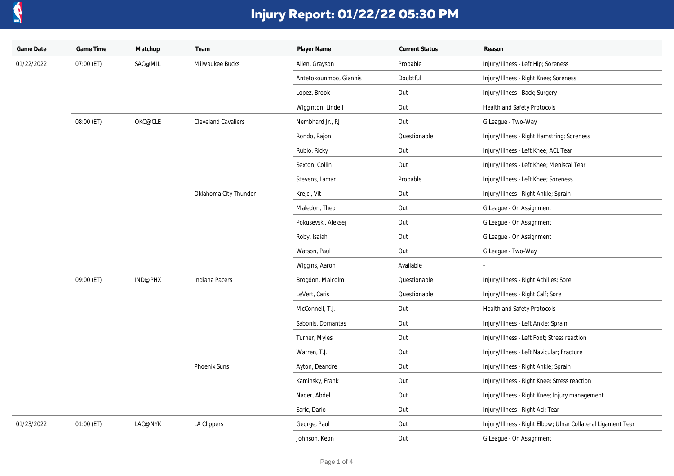

| Game Date  | Game Time  | Matchup | Team                       | Player Name            | <b>Current Status</b> | Reason                                                       |
|------------|------------|---------|----------------------------|------------------------|-----------------------|--------------------------------------------------------------|
| 01/22/2022 | 07:00 (ET) | SAC@MIL | Milwaukee Bucks            | Allen, Grayson         | Probable              | Injury/Illness - Left Hip; Soreness                          |
|            |            |         |                            | Antetokounmpo, Giannis | Doubtful              | Injury/Illness - Right Knee; Soreness                        |
|            |            |         |                            | Lopez, Brook           | Out                   | Injury/Illness - Back; Surgery                               |
|            |            |         |                            | Wigginton, Lindell     | Out                   | Health and Safety Protocols                                  |
|            | 08:00 (ET) | OKC@CLE | <b>Cleveland Cavaliers</b> | Nembhard Jr., RJ       | Out                   | G League - Two-Way                                           |
|            |            |         |                            | Rondo, Rajon           | Questionable          | Injury/Illness - Right Hamstring; Soreness                   |
|            |            |         |                            | Rubio, Ricky           | Out                   | Injury/Illness - Left Knee; ACL Tear                         |
|            |            |         |                            | Sexton, Collin         | Out                   | Injury/Illness - Left Knee; Meniscal Tear                    |
|            |            |         |                            | Stevens, Lamar         | Probable              | Injury/Illness - Left Knee; Soreness                         |
|            |            |         | Oklahoma City Thunder      | Krejci, Vit            | Out                   | Injury/Illness - Right Ankle; Sprain                         |
|            |            |         |                            | Maledon, Theo          | Out                   | G League - On Assignment                                     |
|            |            |         |                            | Pokusevski, Aleksej    | Out                   | G League - On Assignment                                     |
|            |            |         |                            | Roby, Isaiah           | Out                   | G League - On Assignment                                     |
|            |            |         |                            | Watson, Paul           | Out                   | G League - Two-Way                                           |
|            |            |         |                            | Wiggins, Aaron         | Available             | $\sim$                                                       |
|            | 09:00 (ET) | IND@PHX | Indiana Pacers             | Brogdon, Malcolm       | Questionable          | Injury/Illness - Right Achilles; Sore                        |
|            |            |         |                            | LeVert, Caris          | Questionable          | Injury/Illness - Right Calf; Sore                            |
|            |            |         |                            | McConnell, T.J.        | Out                   | Health and Safety Protocols                                  |
|            |            |         |                            | Sabonis, Domantas      | Out                   | Injury/Illness - Left Ankle; Sprain                          |
|            |            |         |                            | Turner, Myles          | Out                   | Injury/Illness - Left Foot; Stress reaction                  |
|            |            |         |                            | Warren, T.J.           | Out                   | Injury/Illness - Left Navicular; Fracture                    |
|            |            |         | Phoenix Suns               | Ayton, Deandre         | Out                   | Injury/Illness - Right Ankle; Sprain                         |
|            |            |         |                            | Kaminsky, Frank        | Out                   | Injury/Illness - Right Knee; Stress reaction                 |
|            |            |         |                            | Nader, Abdel           | Out                   | Injury/Illness - Right Knee; Injury management               |
|            |            |         |                            | Saric, Dario           | Out                   | Injury/Illness - Right Acl; Tear                             |
| 01/23/2022 | 01:00 (ET) | LAC@NYK | LA Clippers                | George, Paul           | Out                   | Injury/Illness - Right Elbow; Ulnar Collateral Ligament Tear |
|            |            |         |                            | Johnson, Keon          | Out                   | G League - On Assignment                                     |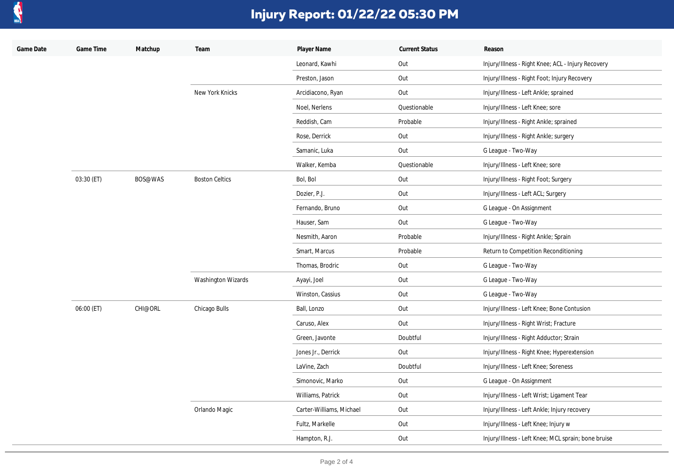

| Game Date | Game Time  | Matchup | Team                      | Player Name              | <b>Current Status</b> | Reason                                              |
|-----------|------------|---------|---------------------------|--------------------------|-----------------------|-----------------------------------------------------|
|           |            |         |                           | Leonard, Kawhi           | Out                   | Injury/Illness - Right Knee; ACL - Injury Recovery  |
|           |            |         |                           | Preston, Jason           | Out                   | Injury/Illness - Right Foot; Injury Recovery        |
|           |            |         | New York Knicks           | Arcidiacono, Ryan        | Out                   | Injury/Illness - Left Ankle; sprained               |
|           |            |         |                           | Noel, Nerlens            | Questionable          | Injury/Illness - Left Knee; sore                    |
|           |            |         |                           | Reddish, Cam             | Probable              | Injury/Illness - Right Ankle; sprained              |
|           |            |         |                           | Rose, Derrick            | Out                   | Injury/Illness - Right Ankle; surgery               |
|           |            |         |                           | Samanic, Luka            | Out                   | G League - Two-Way                                  |
|           |            |         |                           | Walker, Kemba            | Questionable          | Injury/Illness - Left Knee; sore                    |
|           | 03:30 (ET) | BOS@WAS | <b>Boston Celtics</b>     | Bol, Bol                 | Out                   | Injury/Illness - Right Foot; Surgery                |
|           |            |         |                           | Dozier, P.J.             | Out                   | Injury/Illness - Left ACL; Surgery                  |
|           |            |         |                           | Fernando, Bruno          | Out                   | G League - On Assignment                            |
|           |            |         |                           | Hauser, Sam              | Out                   | G League - Two-Way                                  |
|           |            |         |                           | Nesmith, Aaron           | Probable              | Injury/Illness - Right Ankle; Sprain                |
|           |            |         |                           | Smart, Marcus            | Probable              | Return to Competition Reconditioning                |
|           |            |         |                           | Thomas, Brodric          | Out                   | G League - Two-Way                                  |
|           |            |         | <b>Washington Wizards</b> | Ayayi, Joel              | Out                   | G League - Two-Way                                  |
|           |            |         |                           | Winston, Cassius         | Out                   | G League - Two-Way                                  |
|           | 06:00 (ET) | CHI@ORL | Chicago Bulls             | Ball, Lonzo              | Out                   | Injury/Illness - Left Knee; Bone Contusion          |
|           |            |         |                           | Caruso, Alex             | Out                   | Injury/Illness - Right Wrist; Fracture              |
|           |            |         |                           | Green, Javonte           | Doubtful              | Injury/Illness - Right Adductor; Strain             |
|           |            |         |                           | Jones Jr., Derrick       | Out                   | Injury/Illness - Right Knee; Hyperextension         |
|           |            |         |                           | LaVine, Zach             | Doubtful              | Injury/Illness - Left Knee; Soreness                |
|           |            |         |                           | Simonovic, Marko         | Out                   | G League - On Assignment                            |
|           |            |         |                           | Williams, Patrick        | Out                   | Injury/Illness - Left Wrist; Ligament Tear          |
|           |            |         | Orlando Magic             | Carter-Williams, Michael | Out                   | Injury/Illness - Left Ankle; Injury recovery        |
|           |            |         |                           | Fultz, Markelle          | Out                   | Injury/Illness - Left Knee; Injury w                |
|           |            |         |                           | Hampton, R.J.            | Out                   | Injury/Illness - Left Knee; MCL sprain; bone bruise |
|           |            |         |                           |                          |                       |                                                     |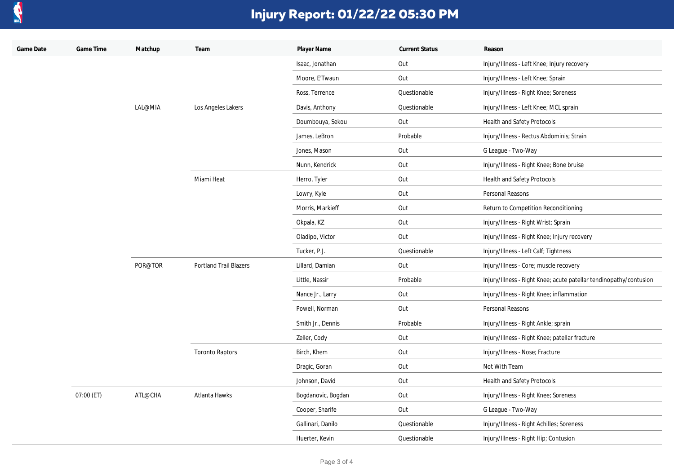

| Game Date | Game Time  | Matchup | Team                          | Player Name        | <b>Current Status</b> | Reason                                                             |
|-----------|------------|---------|-------------------------------|--------------------|-----------------------|--------------------------------------------------------------------|
|           |            |         |                               | Isaac, Jonathan    | Out                   | Injury/Illness - Left Knee; Injury recovery                        |
|           |            |         |                               | Moore, E'Twaun     | Out                   | Injury/Illness - Left Knee; Sprain                                 |
|           |            |         |                               | Ross, Terrence     | Questionable          | Injury/Illness - Right Knee; Soreness                              |
|           |            | LAL@MIA | Los Angeles Lakers            | Davis, Anthony     | Questionable          | Injury/Illness - Left Knee; MCL sprain                             |
|           |            |         |                               | Doumbouya, Sekou   | Out                   | Health and Safety Protocols                                        |
|           |            |         |                               | James, LeBron      | Probable              | Injury/Illness - Rectus Abdominis; Strain                          |
|           |            |         |                               | Jones, Mason       | Out                   | G League - Two-Way                                                 |
|           |            |         |                               | Nunn, Kendrick     | Out                   | Injury/Illness - Right Knee; Bone bruise                           |
|           |            |         | Miami Heat                    | Herro, Tyler       | Out                   | Health and Safety Protocols                                        |
|           |            |         |                               | Lowry, Kyle        | Out                   | Personal Reasons                                                   |
|           |            |         |                               | Morris, Markieff   | Out                   | Return to Competition Reconditioning                               |
|           |            |         |                               | Okpala, KZ         | Out                   | Injury/Illness - Right Wrist; Sprain                               |
|           |            |         |                               | Oladipo, Victor    | Out                   | Injury/Illness - Right Knee; Injury recovery                       |
|           |            |         |                               | Tucker, P.J.       | Questionable          | Injury/Illness - Left Calf; Tightness                              |
|           |            | POR@TOR | <b>Portland Trail Blazers</b> | Lillard, Damian    | Out                   | Injury/Illness - Core; muscle recovery                             |
|           |            |         |                               | Little, Nassir     | Probable              | Injury/Illness - Right Knee; acute patellar tendinopathy/contusion |
|           |            |         |                               | Nance Jr., Larry   | Out                   | Injury/Illness - Right Knee; inflammation                          |
|           |            |         |                               | Powell, Norman     | Out                   | Personal Reasons                                                   |
|           |            |         |                               | Smith Jr., Dennis  | Probable              | Injury/Illness - Right Ankle; sprain                               |
|           |            |         |                               | Zeller, Cody       | Out                   | Injury/Illness - Right Knee; patellar fracture                     |
|           |            |         | <b>Toronto Raptors</b>        | Birch, Khem        | Out                   | Injury/Illness - Nose; Fracture                                    |
|           |            |         |                               | Dragic, Goran      | Out                   | Not With Team                                                      |
|           |            |         |                               | Johnson, David     | Out                   | Health and Safety Protocols                                        |
|           | 07:00 (ET) | ATL@CHA | Atlanta Hawks                 | Bogdanovic, Bogdan | Out                   | Injury/Illness - Right Knee; Soreness                              |
|           |            |         |                               | Cooper, Sharife    | Out                   | G League - Two-Way                                                 |
|           |            |         |                               | Gallinari, Danilo  | Questionable          | Injury/Illness - Right Achilles; Soreness                          |
|           |            |         |                               | Huerter, Kevin     | Questionable          | Injury/Illness - Right Hip; Contusion                              |
|           |            |         |                               |                    |                       |                                                                    |